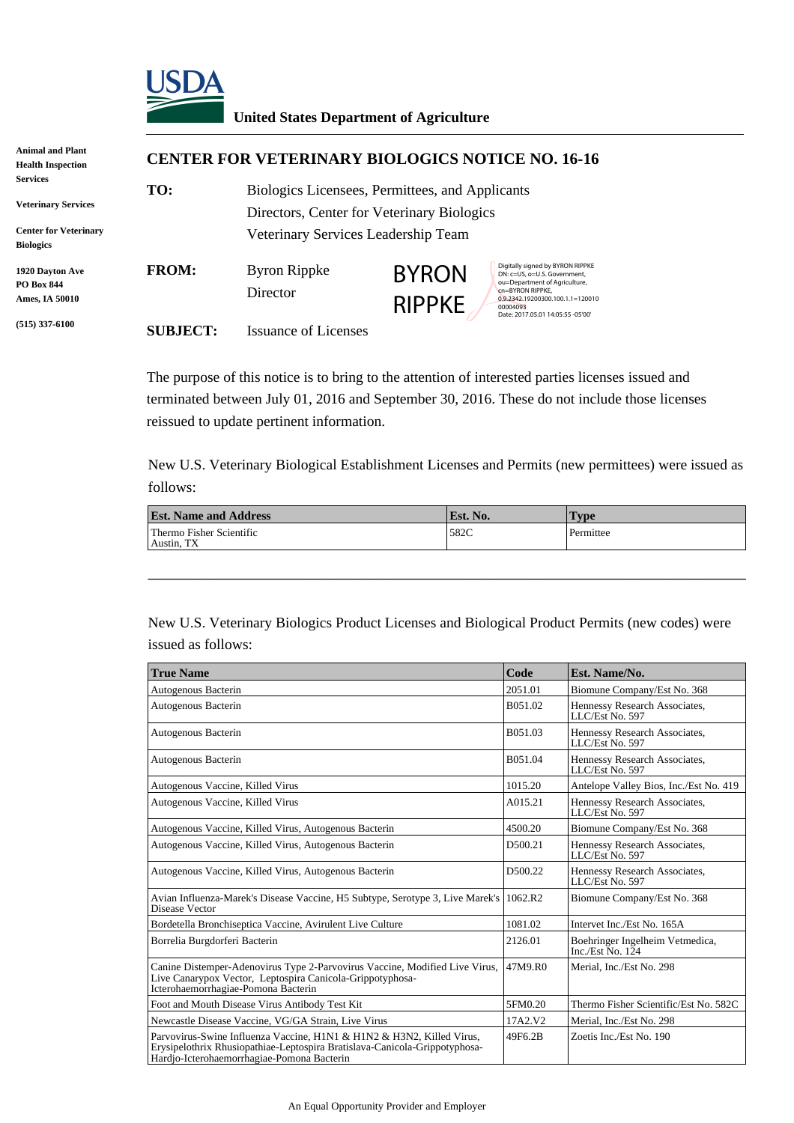

## **United States Department of Agriculture**

| Animal and Plant                                              | <b>CENTER FOR VETERINARY BIOLOGICS NOTICE NO. 16-16</b> |                                                                                               |                               |                                                                                                                                                                       |
|---------------------------------------------------------------|---------------------------------------------------------|-----------------------------------------------------------------------------------------------|-------------------------------|-----------------------------------------------------------------------------------------------------------------------------------------------------------------------|
| <b>Health Inspection</b>                                      |                                                         |                                                                                               |                               |                                                                                                                                                                       |
| <b>Services</b><br><b>Veterinary Services</b>                 | TO:                                                     | Biologics Licensees, Permittees, and Applicants<br>Directors, Center for Veterinary Biologics |                               |                                                                                                                                                                       |
| <b>Center for Veterinary</b><br><b>Biologics</b>              |                                                         | Veterinary Services Leadership Team                                                           |                               |                                                                                                                                                                       |
| <b>1920 Dayton Ave</b><br><b>PO Box 844</b><br>Ames, IA 50010 | <b>FROM:</b>                                            | <b>Byron Rippke</b><br>Director                                                               | <b>BYRON</b><br><b>RIPPKE</b> | Digitally signed by BYRON RIPPKE<br>DN: c=US, o=U.S. Government,<br>ou=Department of Agriculture,<br>cn=BYRON RIPPKE,<br>0.9.2342.19200300.100.1.1=120010<br>00004093 |
| $(515)$ 337-6100                                              | <b>SUBJECT:</b>                                         | Issuance of Licenses                                                                          |                               | Date: 2017.05.01 14:05:55 -05'00'                                                                                                                                     |

The purpose of this notice is to bring to the attention of interested parties licenses issued and terminated between July 01, 2016 and September 30, 2016. These do not include those licenses reissued to update pertinent information.

New U.S. Veterinary Biological Establishment Licenses and Permits (new permittees) were issued as follows:

| <b>Est. Name and Address</b>           | Est. No. | <b>Type</b> |
|----------------------------------------|----------|-------------|
| Thermo Fisher Scientific<br>Austin, TX | 582C     | Permittee   |

\_\_\_\_\_\_\_\_\_\_\_\_\_\_\_\_\_\_\_\_\_\_\_\_\_\_\_\_\_\_\_\_\_\_\_\_\_\_\_\_\_\_\_\_\_\_\_\_\_\_\_\_\_\_\_\_\_\_\_\_\_\_\_\_

New U.S. Veterinary Biologics Product Licenses and Biological Product Permits (new codes) were issued as follows:

| <b>True Name</b>                                                                                                                                                                                  | Code    | Est. Name/No.                                                     |
|---------------------------------------------------------------------------------------------------------------------------------------------------------------------------------------------------|---------|-------------------------------------------------------------------|
| Autogenous Bacterin                                                                                                                                                                               | 2051.01 | Biomune Company/Est No. 368                                       |
| Autogenous Bacterin                                                                                                                                                                               | B051.02 | Hennessy Research Associates,<br>LLC/Est No. 597                  |
| Autogenous Bacterin                                                                                                                                                                               | B051.03 | Hennessy Research Associates,<br>LLC/Est No. 597                  |
| Autogenous Bacterin                                                                                                                                                                               | B051.04 | Hennessy Research Associates,<br>LLC/Est No. 597                  |
| Autogenous Vaccine, Killed Virus                                                                                                                                                                  | 1015.20 | Antelope Valley Bios, Inc./Est No. 419                            |
| Autogenous Vaccine, Killed Virus                                                                                                                                                                  | A015.21 | Hennessy Research Associates,<br>LLC/Est No. 597                  |
| Autogenous Vaccine, Killed Virus, Autogenous Bacterin                                                                                                                                             | 4500.20 | Biomune Company/Est No. 368                                       |
| Autogenous Vaccine, Killed Virus, Autogenous Bacterin                                                                                                                                             | D500.21 | Hennessy Research Associates,<br>LLC/Est No. 597                  |
| Autogenous Vaccine, Killed Virus, Autogenous Bacterin                                                                                                                                             | D500.22 | Hennessy Research Associates,<br>LLC/Est No. 597                  |
| Avian Influenza-Marek's Disease Vaccine, H5 Subtype, Serotype 3, Live Marek's<br>Disease Vector                                                                                                   | 1062.R2 | Biomune Company/Est No. 368                                       |
| Bordetella Bronchiseptica Vaccine, Avirulent Live Culture                                                                                                                                         | 1081.02 | Intervet Inc./Est No. 165A                                        |
| Borrelia Burgdorferi Bacterin                                                                                                                                                                     | 2126.01 | Boehringer Ingelheim Vetmedica,<br>Inc./Est $\overline{N}$ o. 124 |
| Canine Distemper-Adenovirus Type 2-Parvovirus Vaccine, Modified Live Virus,<br>Live Canarypox Vector, Leptospira Canicola-Grippotyphosa-<br>Icterohaemorrhagiae-Pomona Bacterin                   | 47M9.R0 | Merial, Inc./Est No. 298                                          |
| Foot and Mouth Disease Virus Antibody Test Kit                                                                                                                                                    | 5FM0.20 | Thermo Fisher Scientific/Est No. 582C                             |
| Newcastle Disease Vaccine, VG/GA Strain, Live Virus                                                                                                                                               | 17A2.V2 | Merial. Inc./Est No. 298                                          |
| Parvovirus-Swine Influenza Vaccine, H1N1 & H1N2 & H3N2, Killed Virus,<br>Erysipelothrix Rhusiopathiae-Leptospira Bratislava-Canicola-Grippotyphosa-<br>Hardjo-Icterohaemorrhagiae-Pomona Bacterin | 49F6.2B | Zoetis Inc./Est No. 190                                           |